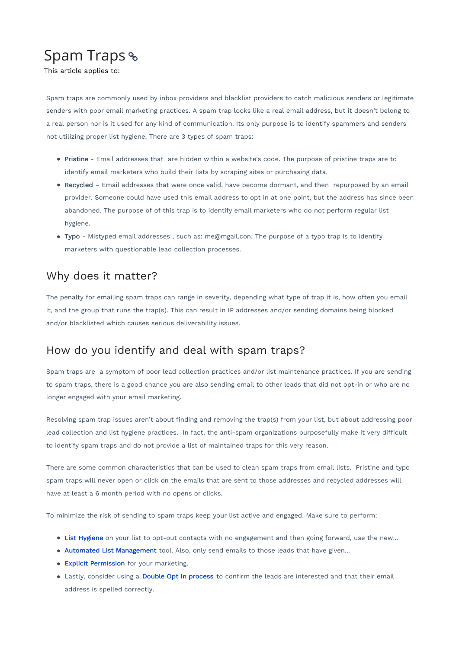## Spam Traps

This article applies to:

Spam traps are commonly used by inbox providers and blacklist providers to catch malicious senders or legitimate senders with poor email marketing practices. A spam trap looks like a real email address, but it doesn't belong to a real person nor is it used for any kind of communication. Its only purpose is to identify spammers and senders not utilizing proper list hygiene. There are 3 types of spam traps:

- Pristine Email addresses that are hidden within a website's code. The purpose of pristine traps are to identify email marketers who build their lists by scraping sites or purchasing data.
- Recycled Email addresses that were once valid, have become dormant, and then repurposed by an email provider. Someone could have used this email address to opt in at one point, but the address has since been abandoned. The purpose of of this trap is to identify email marketers who do not perform regular list hygiene.
- Typo Mistyped email addresses , such as: me@mgail.con. The purpose of a typo trap is to identify marketers with questionable lead collection processes.

## Why does it matter?

The penalty for emailing spam traps can range in severity, depending what type of trap it is, how often you email it, and the group that runs the trap(s). This can result in IP addresses and/or sending domains being blocked and/or blacklisted which causes serious deliverability issues.

## How do you identify and deal with spam traps?

Spam traps are a symptom of poor lead collection practices and/or list maintenance practices. If you are sending to spam traps, there is a good chance you are also sending email to other leads that did not opt-in or who are no longer engaged with your email marketing.

Resolving spam trap issues aren't about finding and removing the trap(s) from your list, but about addressing poor lead collection and list hygiene practices. In fact, the anti-spam organizations purposefully make it very difficult to identify spam traps and do not provide a list of maintained traps for this very reason.

There are some common characteristics that can be used to clean spam traps from email lists. Pristine and typo spam traps will never open or click on the emails that are sent to those addresses and recycled addresses will have at least a 6 month period with no opens or clicks.

To minimize the risk of sending to spam traps keep your list active and engaged. Make sure to perform:

- List Hygiene on your list to opt-out contacts with no engagement and then going forward, use the new...
- Automated List Management tool. Also, only send emails to those leads that have given...
- **Explicit Permission** for your marketing.
- Lastly, consider using a Double Opt In process to confirm the leads are interested and that their email address is spelled correctly.